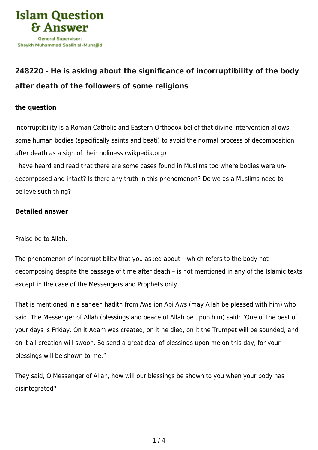

## **[248220 - He is asking about the significance of incorruptibility of the body](https://islamqa.com/en/answers/248220/he-is-asking-about-the-significance-of-incorruptibility-of-the-body-after-death-of-the-followers-of-some-religions) [after death of the followers of some religions](https://islamqa.com/en/answers/248220/he-is-asking-about-the-significance-of-incorruptibility-of-the-body-after-death-of-the-followers-of-some-religions)**

## **the question**

Incorruptibility is a Roman Catholic and Eastern Orthodox belief that divine intervention allows some human bodies (specifically saints and beati) to avoid the normal process of decomposition after death as a sign of their holiness (wikpedia.org)

I have heard and read that there are some cases found in Muslims too where bodies were undecomposed and intact? Is there any truth in this phenomenon? Do we as a Muslims need to believe such thing?

## **Detailed answer**

Praise be to Allah.

The phenomenon of incorruptibility that you asked about – which refers to the body not decomposing despite the passage of time after death – is not mentioned in any of the Islamic texts except in the case of the Messengers and Prophets only.

That is mentioned in a saheeh hadith from Aws ibn Abi Aws (may Allah be pleased with him) who said: The Messenger of Allah (blessings and peace of Allah be upon him) said: "One of the best of your days is Friday. On it Adam was created, on it he died, on it the Trumpet will be sounded, and on it all creation will swoon. So send a great deal of blessings upon me on this day, for your blessings will be shown to me."

They said, O Messenger of Allah, how will our blessings be shown to you when your body has disintegrated?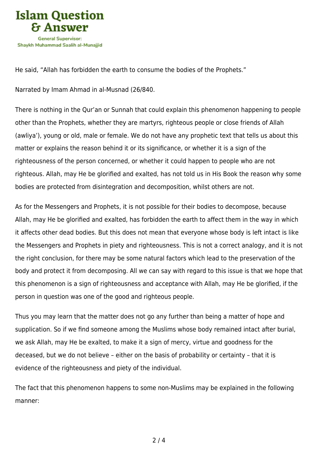

He said, "Allah has forbidden the earth to consume the bodies of the Prophets."

Narrated by Imam Ahmad in al-Musnad (26/840.

There is nothing in the Qur'an or Sunnah that could explain this phenomenon happening to people other than the Prophets, whether they are martyrs, righteous people or close friends of Allah (awliya'), young or old, male or female. We do not have any prophetic text that tells us about this matter or explains the reason behind it or its significance, or whether it is a sign of the righteousness of the person concerned, or whether it could happen to people who are not righteous. Allah, may He be glorified and exalted, has not told us in His Book the reason why some bodies are protected from disintegration and decomposition, whilst others are not.

As for the Messengers and Prophets, it is not possible for their bodies to decompose, because Allah, may He be glorified and exalted, has forbidden the earth to affect them in the way in which it affects other dead bodies. But this does not mean that everyone whose body is left intact is like the Messengers and Prophets in piety and righteousness. This is not a correct analogy, and it is not the right conclusion, for there may be some natural factors which lead to the preservation of the body and protect it from decomposing. All we can say with regard to this issue is that we hope that this phenomenon is a sign of righteousness and acceptance with Allah, may He be glorified, if the person in question was one of the good and righteous people.

Thus you may learn that the matter does not go any further than being a matter of hope and supplication. So if we find someone among the Muslims whose body remained intact after burial, we ask Allah, may He be exalted, to make it a sign of mercy, virtue and goodness for the deceased, but we do not believe – either on the basis of probability or certainty – that it is evidence of the righteousness and piety of the individual.

The fact that this phenomenon happens to some non-Muslims may be explained in the following manner: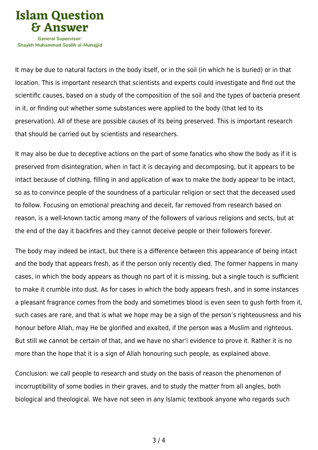

Shavkh Muhammad Saalih al-Munaiiid

It may be due to natural factors in the body itself, or in the soil (in which he is buried) or in that location. This is important research that scientists and experts could investigate and find out the scientific causes, based on a study of the composition of the soil and the types of bacteria present in it, or finding out whether some substances were applied to the body (that led to its preservation). All of these are possible causes of its being preserved. This is important research that should be carried out by scientists and researchers.

It may also be due to deceptive actions on the part of some fanatics who show the body as if it is preserved from disintegration, when in fact it is decaying and decomposing, but it appears to be intact because of clothing, filling in and application of wax to make the body appear to be intact, so as to convince people of the soundness of a particular religion or sect that the deceased used to follow. Focusing on emotional preaching and deceit, far removed from research based on reason, is a well-known tactic among many of the followers of various religions and sects, but at the end of the day it backfires and they cannot deceive people or their followers forever.

The body may indeed be intact, but there is a difference between this appearance of being intact and the body that appears fresh, as if the person only recently died. The former happens in many cases, in which the body appears as though no part of it is missing, but a single touch is sufficient to make it crumble into dust. As for cases in which the body appears fresh, and in some instances a pleasant fragrance comes from the body and sometimes blood is even seen to gush forth from it, such cases are rare, and that is what we hope may be a sign of the person's righteousness and his honour before Allah, may He be glorified and exalted, if the person was a Muslim and righteous. But still we cannot be certain of that, and we have no shar'i evidence to prove it. Rather it is no more than the hope that it is a sign of Allah honouring such people, as explained above.

Conclusion: we call people to research and study on the basis of reason the phenomenon of incorruptibility of some bodies in their graves, and to study the matter from all angles, both biological and theological. We have not seen in any Islamic textbook anyone who regards such